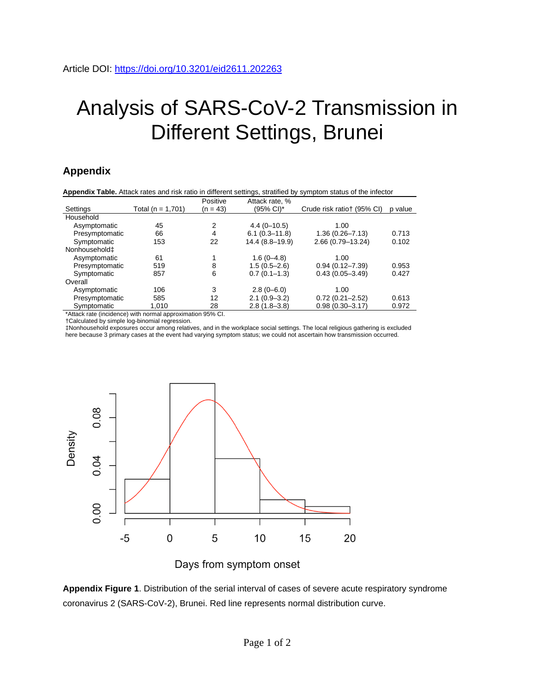## Analysis of SARS-CoV-2 Transmission in Different Settings, Brunei

## **Appendix**

| <b>Appendix Table.</b> Attack rates and risk ratio in different settings, stratified by symptom status of the infector |                       |            |                   |                            |         |
|------------------------------------------------------------------------------------------------------------------------|-----------------------|------------|-------------------|----------------------------|---------|
|                                                                                                                        |                       | Positive   | Attack rate, %    |                            |         |
| Settings                                                                                                               | Total ( $n = 1,701$ ) | $(n = 43)$ | (95% CI)*         | Crude risk ratiot (95% CI) | p value |
| Household                                                                                                              |                       |            |                   |                            |         |
| Asymptomatic                                                                                                           | 45                    | 2          | $4.4(0 - 10.5)$   | 1.00                       |         |
| Presymptomatic                                                                                                         | 66                    | 4          | $6.1(0.3 - 11.8)$ | $1.36(0.26 - 7.13)$        | 0.713   |
| Symptomatic                                                                                                            | 153                   | 22         | 14.4 (8.8-19.9)   | 2.66 (0.79-13.24)          | 0.102   |
| Nonhousehold <sup>+</sup>                                                                                              |                       |            |                   |                            |         |
| Asymptomatic                                                                                                           | 61                    |            | $1.6(0-4.8)$      | 1.00                       |         |
| Presymptomatic                                                                                                         | 519                   | 8          | $1.5(0.5 - 2.6)$  | $0.94(0.12 - 7.39)$        | 0.953   |
| Symptomatic                                                                                                            | 857                   | 6          | $0.7(0.1-1.3)$    | $0.43(0.05 - 3.49)$        | 0.427   |
| Overall                                                                                                                |                       |            |                   |                            |         |
| Asymptomatic                                                                                                           | 106                   | 3          | $2.8(0 - 6.0)$    | 1.00                       |         |
| Presymptomatic                                                                                                         | 585                   | 12         | $2.1(0.9 - 3.2)$  | $0.72(0.21 - 2.52)$        | 0.613   |
| Symptomatic                                                                                                            | 1,010                 | 28         | $2.8(1.8-3.8)$    | $0.98(0.30 - 3.17)$        | 0.972   |

\*Attack rate (incidence) with normal approximation 95% CI.

†Calculated by simple log-binomial regression.

‡Nonhousehold exposures occur among relatives, and in the workplace social settings. The local religious gathering is excluded here because 3 primary cases at the event had varying symptom status; we could not ascertain how transmission occurred.



Days from symptom onset

**Appendix Figure 1**. Distribution of the serial interval of cases of severe acute respiratory syndrome coronavirus 2 (SARS-CoV-2), Brunei. Red line represents normal distribution curve.